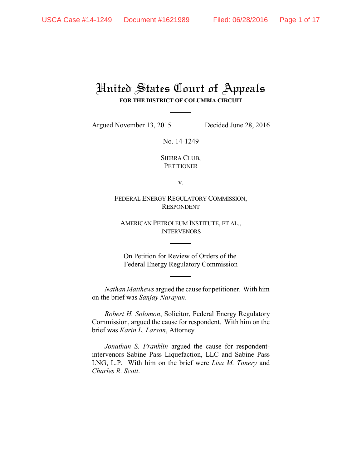## United States Court of Appeals **FOR THE DISTRICT OF COLUMBIA CIRCUIT**

Argued November 13, 2015 Decided June 28, 2016

No. 14-1249

SIERRA CLUB, **PETITIONER** 

v.

FEDERAL ENERGY REGULATORY COMMISSION, RESPONDENT

AMERICAN PETROLEUM INSTITUTE, ET AL., **INTERVENORS** 

On Petition for Review of Orders of the Federal Energy Regulatory Commission

*Nathan Matthews* argued the cause for petitioner. With him on the brief was *Sanjay Narayan*.

*Robert H. Solomon*, Solicitor, Federal Energy Regulatory Commission, argued the cause for respondent. With him on the brief was *Karin L. Larson*, Attorney.

*Jonathan S. Franklin* argued the cause for respondentintervenors Sabine Pass Liquefaction, LLC and Sabine Pass LNG, L.P. With him on the brief were *Lisa M. Tonery* and *Charles R. Scott*.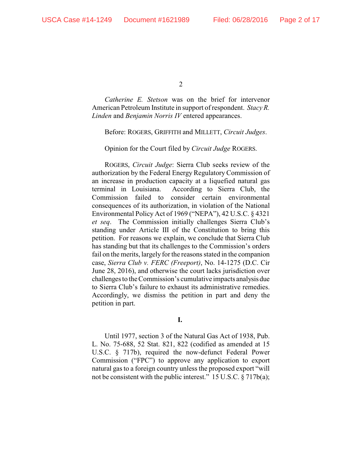*Catherine E. Stetson* was on the brief for intervenor American Petroleum Institute in support of respondent. *Stacy R. Linden* and *Benjamin Norris IV* entered appearances.

Before: ROGERS, GRIFFITH and MILLETT, *Circuit Judges*.

Opinion for the Court filed by *Circuit Judge* ROGERS.

ROGERS, *Circuit Judge*: Sierra Club seeks review of the authorization by the Federal Energy Regulatory Commission of an increase in production capacity at a liquefied natural gas terminal in Louisiana. According to Sierra Club, the Commission failed to consider certain environmental consequences of its authorization, in violation of the National Environmental Policy Act of 1969 ("NEPA"), 42 U.S.C. § 4321 *et seq*. The Commission initially challenges Sierra Club's standing under Article III of the Constitution to bring this petition. For reasons we explain, we conclude that Sierra Club has standing but that its challenges to the Commission's orders fail on the merits, largely for the reasons stated in the companion case, *Sierra Club v. FERC (Freeport)*, No. 14-1275 (D.C. Cir June 28, 2016), and otherwise the court lacks jurisdiction over challenges to the Commission's cumulative impacts analysis due to Sierra Club's failure to exhaust its administrative remedies. Accordingly, we dismiss the petition in part and deny the petition in part.

**I.** 

Until 1977, section 3 of the Natural Gas Act of 1938, Pub. L. No. 75-688, 52 Stat. 821, 822 (codified as amended at 15 U.S.C. § 717b), required the now-defunct Federal Power Commission ("FPC") to approve any application to export natural gas to a foreign country unless the proposed export "will not be consistent with the public interest." 15 U.S.C. § 717b(a);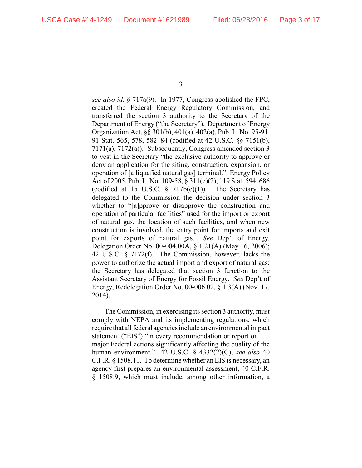*see also id.* § 717a(9). In 1977, Congress abolished the FPC, created the Federal Energy Regulatory Commission, and transferred the section 3 authority to the Secretary of the Department of Energy ("the Secretary"). Department of Energy Organization Act, §§ 301(b), 401(a), 402(a), Pub. L. No. 95-91, 91 Stat. 565, 578, 582–84 (codified at 42 U.S.C. §§ 7151(b), 7171(a), 7172(a)). Subsequently, Congress amended section 3 to vest in the Secretary "the exclusive authority to approve or deny an application for the siting, construction, expansion, or operation of [a liquefied natural gas] terminal." Energy Policy Act of 2005, Pub. L. No. 109-58, § 311(c)(2), 119 Stat. 594, 686 (codified at 15 U.S.C.  $\S$  717b(e)(1)). The Secretary has delegated to the Commission the decision under section 3 whether to "[a]pprove or disapprove the construction and operation of particular facilities" used for the import or export of natural gas, the location of such facilities, and when new construction is involved, the entry point for imports and exit point for exports of natural gas. *See* Dep't of Energy, Delegation Order No. 00-004.00A, § 1.21(A) (May 16, 2006); 42 U.S.C. § 7172(f). The Commission, however, lacks the power to authorize the actual import and export of natural gas; the Secretary has delegated that section 3 function to the Assistant Secretary of Energy for Fossil Energy. *See* Dep't of Energy, Redelegation Order No. 00-006.02, § 1.3(A) (Nov. 17, 2014).

The Commission, in exercising its section 3 authority, must comply with NEPA and its implementing regulations, which require that all federal agencies include an environmental impact statement ("EIS") "in every recommendation or report on . . . major Federal actions significantly affecting the quality of the human environment." 42 U.S.C. § 4332(2)(C); *see also* 40 C.F.R. § 1508.11. To determine whether an EIS is necessary, an agency first prepares an environmental assessment, 40 C.F.R. § 1508.9, which must include, among other information, a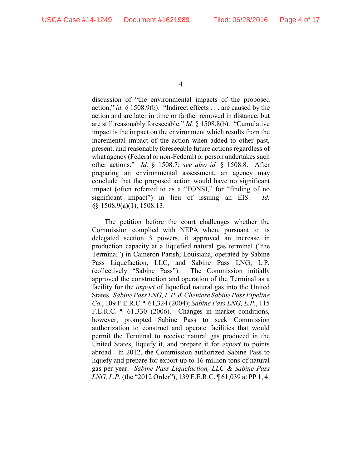discussion of "the environmental impacts of the proposed action," *id.* § 1508.9(b). "Indirect effects . . . are caused by the action and are later in time or farther removed in distance, but are still reasonably foreseeable." *Id.* § 1508.8(b). "Cumulative impact is the impact on the environment which results from the incremental impact of the action when added to other past, present, and reasonably foreseeable future actions regardless of what agency (Federal or non-Federal) or person undertakes such other actions." *Id.* § 1508.7; *see also id.* § 1508.8. After preparing an environmental assessment, an agency may conclude that the proposed action would have no significant impact (often referred to as a "FONSI," for "finding of no significant impact") in lieu of issuing an EIS. *Id.* §§ 1508.9(a)(1), 1508.13.

The petition before the court challenges whether the Commission complied with NEPA when, pursuant to its delegated section 3 powers, it approved an increase in production capacity at a liquefied natural gas terminal ("the Terminal") in Cameron Parish, Louisiana, operated by Sabine Pass Liquefaction, LLC, and Sabine Pass LNG, L.P. (collectively "Sabine Pass"). The Commission initially approved the construction and operation of the Terminal as a facility for the *import* of liquefied natural gas into the United States. *Sabine Pass LNG, L.P. &Cheniere Sabine Pass Pipeline Co.*, 109 F.E.R.C. ¶ 61,324 (2004); *Sabine Pass LNG, L.P.*, 115 F.E.R.C. ¶ 61,330 (2006). Changes in market conditions, however, prompted Sabine Pass to seek Commission authorization to construct and operate facilities that would permit the Terminal to receive natural gas produced in the United States, liquefy it, and prepare it for *export* to points abroad. In 2012, the Commission authorized Sabine Pass to liquefy and prepare for export up to 16 million tons of natural gas per year. *Sabine Pass Liquefaction, LLC & Sabine Pass LNG, L.P.* (the "2012 Order"), 139 F.E.R.C. ¶ 61,039 at PP 1, 4.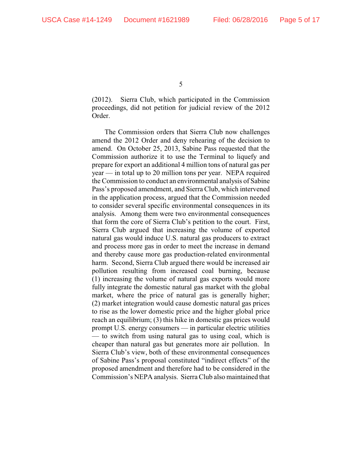(2012). Sierra Club, which participated in the Commission proceedings, did not petition for judicial review of the 2012 Order.

The Commission orders that Sierra Club now challenges amend the 2012 Order and deny rehearing of the decision to amend. On October 25, 2013, Sabine Pass requested that the Commission authorize it to use the Terminal to liquefy and prepare for export an additional 4 million tons of natural gas per year — in total up to 20 million tons per year. NEPA required the Commission to conduct an environmental analysis of Sabine Pass's proposed amendment, and Sierra Club, which intervened in the application process, argued that the Commission needed to consider several specific environmental consequences in its analysis. Among them were two environmental consequences that form the core of Sierra Club's petition to the court. First, Sierra Club argued that increasing the volume of exported natural gas would induce U.S. natural gas producers to extract and process more gas in order to meet the increase in demand and thereby cause more gas production-related environmental harm. Second, Sierra Club argued there would be increased air pollution resulting from increased coal burning, because (1) increasing the volume of natural gas exports would more fully integrate the domestic natural gas market with the global market, where the price of natural gas is generally higher; (2) market integration would cause domestic natural gas prices to rise as the lower domestic price and the higher global price reach an equilibrium; (3) this hike in domestic gas prices would prompt U.S. energy consumers — in particular electric utilities — to switch from using natural gas to using coal, which is cheaper than natural gas but generates more air pollution. In Sierra Club's view, both of these environmental consequences of Sabine Pass's proposal constituted "indirect effects" of the proposed amendment and therefore had to be considered in the Commission's NEPA analysis. Sierra Club also maintained that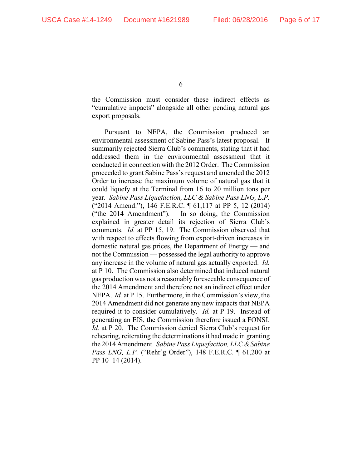the Commission must consider these indirect effects as "cumulative impacts" alongside all other pending natural gas export proposals.

Pursuant to NEPA, the Commission produced an environmental assessment of Sabine Pass's latest proposal. It summarily rejected Sierra Club's comments, stating that it had addressed them in the environmental assessment that it conducted in connection with the 2012 Order. The Commission proceeded to grant Sabine Pass's request and amended the 2012 Order to increase the maximum volume of natural gas that it could liquefy at the Terminal from 16 to 20 million tons per year. *Sabine Pass Liquefaction, LLC & Sabine Pass LNG, L.P.* ("2014 Amend."), 146 F.E.R.C. ¶ 61,117 at PP 5, 12 (2014) ("the 2014 Amendment"). In so doing, the Commission explained in greater detail its rejection of Sierra Club's comments. *Id.* at PP 15, 19. The Commission observed that with respect to effects flowing from export-driven increases in domestic natural gas prices, the Department of Energy — and not the Commission — possessed the legal authority to approve any increase in the volume of natural gas actually exported. *Id.* at P 10. The Commission also determined that induced natural gas production was not a reasonably foreseeable consequence of the 2014 Amendment and therefore not an indirect effect under NEPA. *Id.* at P 15. Furthermore, in the Commission's view, the 2014 Amendment did not generate any new impacts that NEPA required it to consider cumulatively. *Id.* at P 19. Instead of generating an EIS, the Commission therefore issued a FONSI. *Id.* at P 20. The Commission denied Sierra Club's request for rehearing, reiterating the determinations it had made in granting the 2014 Amendment. *Sabine Pass Liquefaction, LLC & Sabine Pass LNG, L.P.* ("Rehr'g Order"), 148 F.E.R.C. ¶ 61,200 at PP 10–14 (2014).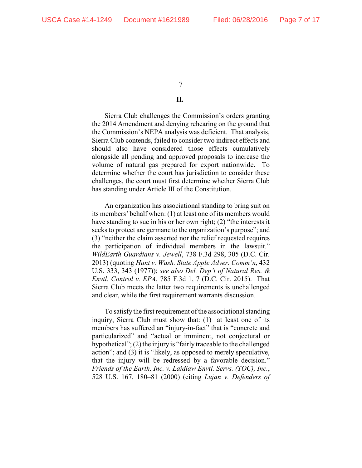## **II.**

Sierra Club challenges the Commission's orders granting the 2014 Amendment and denying rehearing on the ground that the Commission's NEPA analysis was deficient. That analysis, Sierra Club contends, failed to consider two indirect effects and should also have considered those effects cumulatively alongside all pending and approved proposals to increase the volume of natural gas prepared for export nationwide. To determine whether the court has jurisdiction to consider these challenges, the court must first determine whether Sierra Club has standing under Article III of the Constitution.

An organization has associational standing to bring suit on its members' behalf when: (1) at least one of its members would have standing to sue in his or her own right; (2) "the interests it seeks to protect are germane to the organization's purpose"; and (3) "neither the claim asserted nor the relief requested requires the participation of individual members in the lawsuit." *WildEarth Guardians v. Jewell*, 738 F.3d 298, 305 (D.C. Cir. 2013) (quoting *Hunt v. Wash. State Apple Adver. Comm'n*, 432 U.S. 333, 343 (1977)); *see also Del. Dep't of Natural Res. & Envtl. Control v. EPA*, 785 F.3d 1, 7 (D.C. Cir. 2015). That Sierra Club meets the latter two requirements is unchallenged and clear, while the first requirement warrants discussion.

To satisfy the first requirement of the associational standing inquiry, Sierra Club must show that: (1) at least one of its members has suffered an "injury-in-fact" that is "concrete and particularized" and "actual or imminent, not conjectural or hypothetical"; (2) the injury is "fairly traceable to the challenged action"; and (3) it is "likely, as opposed to merely speculative, that the injury will be redressed by a favorable decision." *Friends of the Earth, Inc. v. Laidlaw Envtl. Servs. (TOC), Inc.*, 528 U.S. 167, 180–81 (2000) (citing *Lujan v. Defenders of*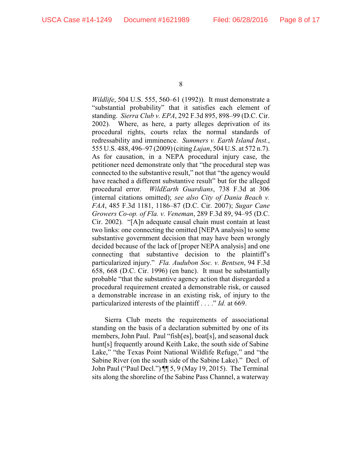*Wildlife*, 504 U.S. 555, 560–61 (1992)). It must demonstrate a "substantial probability" that it satisfies each element of standing. *Sierra Club v. EPA*, 292 F.3d 895, 898–99 (D.C. Cir. 2002). Where, as here, a party alleges deprivation of its procedural rights, courts relax the normal standards of redressability and imminence. *Summers v. Earth Island Inst.*, 555 U.S. 488, 496–97 (2009) (citing *Lujan*, 504 U.S. at 572 n.7). As for causation, in a NEPA procedural injury case, the petitioner need demonstrate only that "the procedural step was connected to the substantive result," not that "the agency would have reached a different substantive result" but for the alleged procedural error. *WildEarth Guardians*, 738 F.3d at 306 (internal citations omitted); *see also City of Dania Beach v. FAA*, 485 F.3d 1181, 1186–87 (D.C. Cir. 2007); *Sugar Cane Growers Co-op. of Fla. v. Veneman*, 289 F.3d 89, 94–95 (D.C. Cir. 2002)*.* "[A]n adequate causal chain must contain at least two links: one connecting the omitted [NEPA analysis] to some substantive government decision that may have been wrongly decided because of the lack of [proper NEPA analysis] and one connecting that substantive decision to the plaintiff's particularized injury." *Fla. Audubon Soc. v. Bentsen*, 94 F.3d 658, 668 (D.C. Cir. 1996) (en banc). It must be substantially probable "that the substantive agency action that disregarded a procedural requirement created a demonstrable risk, or caused a demonstrable increase in an existing risk, of injury to the particularized interests of the plaintiff . . . ." *Id.* at 669.

Sierra Club meets the requirements of associational standing on the basis of a declaration submitted by one of its members, John Paul. Paul "fish[es], boat[s], and seasonal duck hunt[s] frequently around Keith Lake, the south side of Sabine Lake," "the Texas Point National Wildlife Refuge," and "the Sabine River (on the south side of the Sabine Lake)." Decl. of John Paul ("Paul Decl.") ¶¶ 5, 9 (May 19, 2015). The Terminal sits along the shoreline of the Sabine Pass Channel, a waterway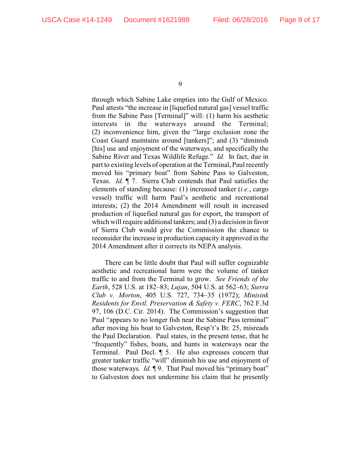through which Sabine Lake empties into the Gulf of Mexico. Paul attests "the increase in [liquefied natural gas] vessel traffic from the Sabine Pass [Terminal]" will: (1) harm his aesthetic interests in the waterways around the Terminal; (2) inconvenience him, given the "large exclusion zone the Coast Guard maintains around [tankers]"; and (3) "diminish [his] use and enjoyment of the waterways, and specifically the Sabine River and Texas Wildlife Refuge." *Id.* In fact, due in part to existing levels of operation at the Terminal, Paul recently moved his "primary boat" from Sabine Pass to Galveston, Texas. *Id.* ¶ 7. Sierra Club contends that Paul satisfies the elements of standing because: (1) increased tanker (*i.e.*, cargo vessel) traffic will harm Paul's aesthetic and recreational interests; (2) the 2014 Amendment will result in increased production of liquefied natural gas for export, the transport of which will require additional tankers; and (3) a decision in favor of Sierra Club would give the Commission the chance to reconsider the increase in production capacity it approved in the 2014 Amendment after it corrects its NEPA analysis.

There can be little doubt that Paul will suffer cognizable aesthetic and recreational harm were the volume of tanker traffic to and from the Terminal to grow. *See Friends of the Earth*, 528 U.S. at 182–83; *Lujan*, 504 U.S. at 562–63; *Sierra Club v. Morton*, 405 U.S. 727, 734–35 (1972); *Minisink Residents for Envtl. Preservation & Safety v. FERC*, 762 F.3d 97, 106 (D.C. Cir. 2014). The Commission's suggestion that Paul "appears to no longer fish near the Sabine Pass terminal" after moving his boat to Galveston, Resp't's Br. 25, misreads the Paul Declaration. Paul states, in the present tense, that he "frequently" fishes, boats, and hunts in waterways near the Terminal. Paul Decl. ¶ 5. He also expresses concern that greater tanker traffic "will" diminish his use and enjoyment of those waterways. *Id.* ¶ 9. That Paul moved his "primary boat" to Galveston does not undermine his claim that he presently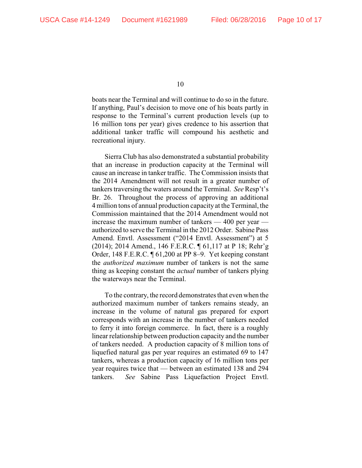boats near the Terminal and will continue to do so in the future. If anything, Paul's decision to move one of his boats partly in response to the Terminal's current production levels (up to 16 million tons per year) gives credence to his assertion that additional tanker traffic will compound his aesthetic and recreational injury.

Sierra Club has also demonstrated a substantial probability that an increase in production capacity at the Terminal will cause an increase in tanker traffic. The Commission insists that the 2014 Amendment will not result in a greater number of tankers traversing the waters around the Terminal. *See* Resp't's Br. 26. Throughout the process of approving an additional 4 million tons of annual production capacity at the Terminal, the Commission maintained that the 2014 Amendment would not increase the maximum number of tankers — 400 per year authorized to serve the Terminal in the 2012 Order. Sabine Pass Amend. Envtl. Assessment ("2014 Envtl. Assessment") at 5 (2014); 2014 Amend., 146 F.E.R.C. ¶ 61,117 at P 18; Rehr'g Order, 148 F.E.R.C. ¶ 61,200 at PP 8–9. Yet keeping constant the *authorized maximum* number of tankers is not the same thing as keeping constant the *actual* number of tankers plying the waterways near the Terminal.

To the contrary, the record demonstrates that even when the authorized maximum number of tankers remains steady, an increase in the volume of natural gas prepared for export corresponds with an increase in the number of tankers needed to ferry it into foreign commerce. In fact, there is a roughly linear relationship between production capacity and the number of tankers needed. A production capacity of 8 million tons of liquefied natural gas per year requires an estimated 69 to 147 tankers, whereas a production capacity of 16 million tons per year requires twice that — between an estimated 138 and 294 tankers. *See* Sabine Pass Liquefaction Project Envtl.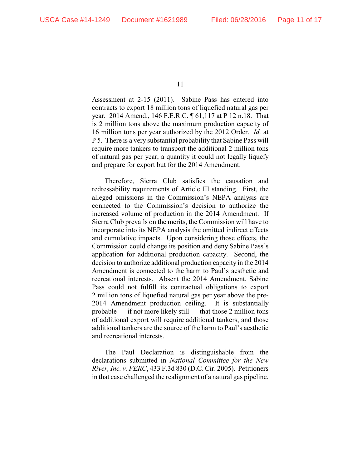Assessment at 2-15 (2011). Sabine Pass has entered into contracts to export 18 million tons of liquefied natural gas per year. 2014 Amend., 146 F.E.R.C. ¶ 61,117 at P 12 n.18. That is 2 million tons above the maximum production capacity of 16 million tons per year authorized by the 2012 Order. *Id.* at P 5. There is a very substantial probability that Sabine Pass will require more tankers to transport the additional 2 million tons of natural gas per year, a quantity it could not legally liquefy and prepare for export but for the 2014 Amendment.

Therefore, Sierra Club satisfies the causation and redressability requirements of Article III standing. First, the alleged omissions in the Commission's NEPA analysis are connected to the Commission's decision to authorize the increased volume of production in the 2014 Amendment. If Sierra Club prevails on the merits, the Commission will have to incorporate into its NEPA analysis the omitted indirect effects and cumulative impacts. Upon considering those effects, the Commission could change its position and deny Sabine Pass's application for additional production capacity. Second, the decision to authorize additional production capacity in the 2014 Amendment is connected to the harm to Paul's aesthetic and recreational interests. Absent the 2014 Amendment, Sabine Pass could not fulfill its contractual obligations to export 2 million tons of liquefied natural gas per year above the pre-2014 Amendment production ceiling. It is substantially probable — if not more likely still — that those 2 million tons of additional export will require additional tankers, and those additional tankers are the source of the harm to Paul's aesthetic and recreational interests.

The Paul Declaration is distinguishable from the declarations submitted in *National Committee for the New River, Inc. v. FERC*, 433 F.3d 830 (D.C. Cir. 2005). Petitioners in that case challenged the realignment of a natural gas pipeline,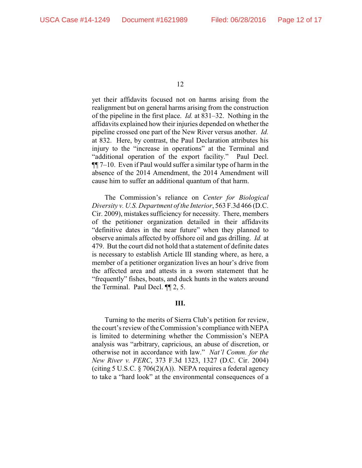yet their affidavits focused not on harms arising from the realignment but on general harms arising from the construction of the pipeline in the first place. *Id.* at 831–32. Nothing in the affidavits explained how their injuries depended on whether the pipeline crossed one part of the New River versus another. *Id.* at 832. Here, by contrast, the Paul Declaration attributes his injury to the "increase in operations" at the Terminal and "additional operation of the export facility." Paul Decl. ¶¶ 7–10. Even if Paul would suffer a similar type of harm in the absence of the 2014 Amendment, the 2014 Amendment will cause him to suffer an additional quantum of that harm.

The Commission's reliance on *Center for Biological Diversity v. U.S. Department of the Interior*, 563 F.3d 466 (D.C. Cir. 2009), mistakes sufficiency for necessity. There, members of the petitioner organization detailed in their affidavits "definitive dates in the near future" when they planned to observe animals affected by offshore oil and gas drilling. *Id.* at 479. But the court did not hold that a statement of definite dates is necessary to establish Article III standing where, as here, a member of a petitioner organization lives an hour's drive from the affected area and attests in a sworn statement that he "frequently" fishes, boats, and duck hunts in the waters around the Terminal. Paul Decl. ¶¶ 2, 5.

## **III.**

Turning to the merits of Sierra Club's petition for review, the court's review of the Commission's compliance with NEPA is limited to determining whether the Commission's NEPA analysis was "arbitrary, capricious, an abuse of discretion, or otherwise not in accordance with law." *Nat'l Comm. for the New River v. FERC*, 373 F.3d 1323, 1327 (D.C. Cir. 2004) (citing 5 U.S.C.  $\S 706(2)(A)$ ). NEPA requires a federal agency to take a "hard look" at the environmental consequences of a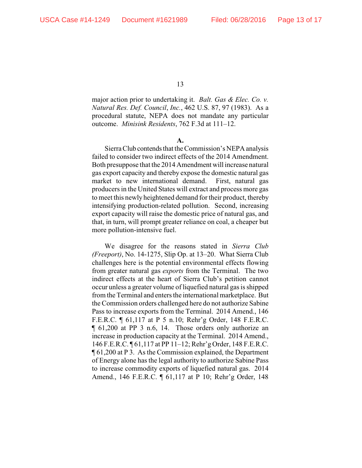major action prior to undertaking it. *Balt. Gas & Elec. Co. v. Natural Res. Def. Council*, *Inc.*, 462 U.S. 87, 97 (1983). As a procedural statute, NEPA does not mandate any particular outcome. *Minisink Residents*, 762 F.3d at 111–12.

**A.**

Sierra Club contends that the Commission's NEPA analysis failed to consider two indirect effects of the 2014 Amendment. Both presuppose that the 2014 Amendment will increase natural gas export capacity and thereby expose the domestic natural gas market to new international demand. First, natural gas producers in the United States will extract and process more gas to meet this newly heightened demand for their product, thereby intensifying production-related pollution. Second, increasing export capacity will raise the domestic price of natural gas, and that, in turn, will prompt greater reliance on coal, a cheaper but more pollution-intensive fuel.

We disagree for the reasons stated in *Sierra Club (Freeport)*, No. 14-1275, Slip Op. at 13–20. What Sierra Club challenges here is the potential environmental effects flowing from greater natural gas *exports* from the Terminal. The two indirect effects at the heart of Sierra Club's petition cannot occur unless a greater volume of liquefied natural gas is shipped from the Terminal and enters the international marketplace. But the Commission orders challenged here do not authorize Sabine Pass to increase exports from the Terminal. 2014 Amend., 146 F.E.R.C. ¶ 61,117 at P 5 n.10; Rehr'g Order, 148 F.E.R.C. ¶ 61,200 at PP 3 n.6, 14. Those orders only authorize an increase in production capacity at the Terminal. 2014 Amend., 146 F.E.R.C. ¶ 61,117 at PP 11–12; Rehr'g Order, 148 F.E.R.C. ¶ 61,200 at P 3. As the Commission explained, the Department of Energy alone has the legal authority to authorize Sabine Pass to increase commodity exports of liquefied natural gas. 2014 Amend., 146 F.E.R.C. ¶ 61,117 at P 10; Rehr'g Order, 148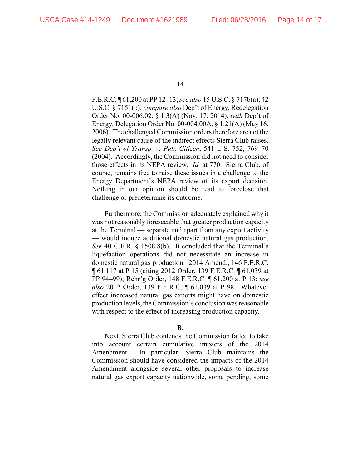F.E.R.C. ¶ 61,200 at PP 12–13; *see also* 15 U.S.C. § 717b(a); 42 U.S.C. § 7151(b); *compare also* Dep't of Energy, Redelegation Order No. 00-006.02, § 1.3(A) (Nov. 17, 2014), *with* Dep't of Energy, Delegation Order No. 00-004.00A, § 1.21(A) (May 16, 2006). The challenged Commission orders therefore are not the legally relevant cause of the indirect effects Sierra Club raises. *See Dep't of Transp. v. Pub. Citizen*, 541 U.S. 752, 769–70 (2004). Accordingly, the Commission did not need to consider those effects in its NEPA review. *Id.* at 770. Sierra Club, of course, remains free to raise these issues in a challenge to the Energy Department's NEPA review of its export decision. Nothing in our opinion should be read to foreclose that challenge or predetermine its outcome.

Furthermore, the Commission adequately explained why it was not reasonably foreseeable that greater production capacity at the Terminal — separate and apart from any export activity — would induce additional domestic natural gas production. *See* 40 C.F.R. § 1508.8(b). It concluded that the Terminal's liquefaction operations did not necessitate an increase in domestic natural gas production. 2014 Amend., 146 F.E.R.C. ¶ 61,117 at P 15 (citing 2012 Order, 139 F.E.R.C. ¶ 61,039 at PP 94–99); Rehr'g Order, 148 F.E.R.C. ¶ 61,200 at P 13; *see also* 2012 Order, 139 F.E.R.C. ¶ 61,039 at P 98. Whatever effect increased natural gas exports might have on domestic production levels, the Commission's conclusion was reasonable with respect to the effect of increasing production capacity.

## **B.**

Next, Sierra Club contends the Commission failed to take into account certain cumulative impacts of the 2014 Amendment. In particular, Sierra Club maintains the Commission should have considered the impacts of the 2014 Amendment alongside several other proposals to increase natural gas export capacity nationwide, some pending, some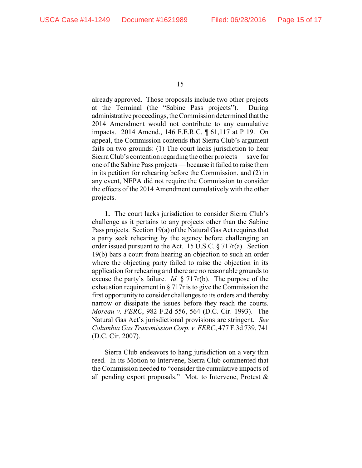already approved. Those proposals include two other projects at the Terminal (the "Sabine Pass projects"). During administrative proceedings, the Commission determined that the 2014 Amendment would not contribute to any cumulative impacts. 2014 Amend., 146 F.E.R.C. ¶ 61,117 at P 19. On appeal, the Commission contends that Sierra Club's argument fails on two grounds: (1) The court lacks jurisdiction to hear Sierra Club's contention regarding the other projects — save for one of the Sabine Pass projects — because it failed to raise them in its petition for rehearing before the Commission, and (2) in any event, NEPA did not require the Commission to consider the effects of the 2014 Amendment cumulatively with the other projects.

**1.** The court lacks jurisdiction to consider Sierra Club's challenge as it pertains to any projects other than the Sabine Pass projects. Section 19(a) of the Natural Gas Act requires that a party seek rehearing by the agency before challenging an order issued pursuant to the Act. 15 U.S.C. § 717r(a). Section 19(b) bars a court from hearing an objection to such an order where the objecting party failed to raise the objection in its application for rehearing and there are no reasonable grounds to excuse the party's failure. *Id.* § 717r(b). The purpose of the exhaustion requirement in § 717r is to give the Commission the first opportunity to consider challenges to its orders and thereby narrow or dissipate the issues before they reach the courts. *Moreau v. FERC*, 982 F.2d 556, 564 (D.C. Cir. 1993). The Natural Gas Act's jurisdictional provisions are stringent. *See Columbia Gas Transmission Corp. v. FERC*, 477 F.3d 739, 741 (D.C. Cir. 2007).

Sierra Club endeavors to hang jurisdiction on a very thin reed. In its Motion to Intervene, Sierra Club commented that the Commission needed to "consider the cumulative impacts of all pending export proposals." Mot. to Intervene, Protest &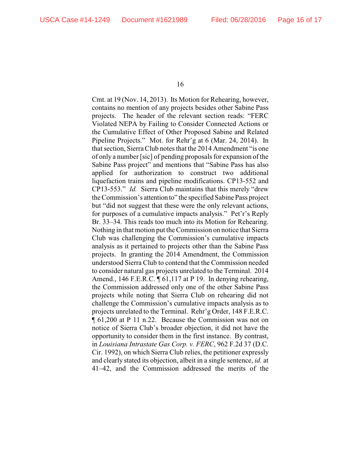Cmt. at 19 (Nov. 14, 2013). Its Motion for Rehearing, however, contains no mention of any projects besides other Sabine Pass projects. The header of the relevant section reads: "FERC Violated NEPA by Failing to Consider Connected Actions or the Cumulative Effect of Other Proposed Sabine and Related Pipeline Projects." Mot. for Rehr'g at 6 (Mar. 24, 2014). In that section, Sierra Club notes that the 2014 Amendment "is one of only a number [sic] of pending proposals for expansion of the Sabine Pass project" and mentions that "Sabine Pass has also applied for authorization to construct two additional liquefaction trains and pipeline modifications. CP13-552 and CP13-553." *Id.* Sierra Club maintains that this merely "drew the Commission's attention to" the specified Sabine Pass project but "did not suggest that these were the only relevant actions, for purposes of a cumulative impacts analysis." Pet'r's Reply Br. 33–34. This reads too much into its Motion for Rehearing. Nothing in that motion put the Commission on notice that Sierra Club was challenging the Commission's cumulative impacts analysis as it pertained to projects other than the Sabine Pass projects. In granting the 2014 Amendment, the Commission understood Sierra Club to contend that the Commission needed to consider natural gas projects unrelated to the Terminal. 2014 Amend., 146 F.E.R.C. ¶ 61,117 at P 19. In denying rehearing, the Commission addressed only one of the other Sabine Pass projects while noting that Sierra Club on rehearing did not challenge the Commission's cumulative impacts analysis as to projects unrelated to the Terminal. Rehr'g Order, 148 F.E.R.C. ¶ 61,200 at P 11 n.22. Because the Commission was not on notice of Sierra Club's broader objection, it did not have the opportunity to consider them in the first instance. By contrast, in *Louisiana Intrastate Gas Corp. v. FERC*, 962 F.2d 37 (D.C. Cir. 1992), on which Sierra Club relies, the petitioner expressly and clearly stated its objection, albeit in a single sentence, *id.* at 41–42, and the Commission addressed the merits of the